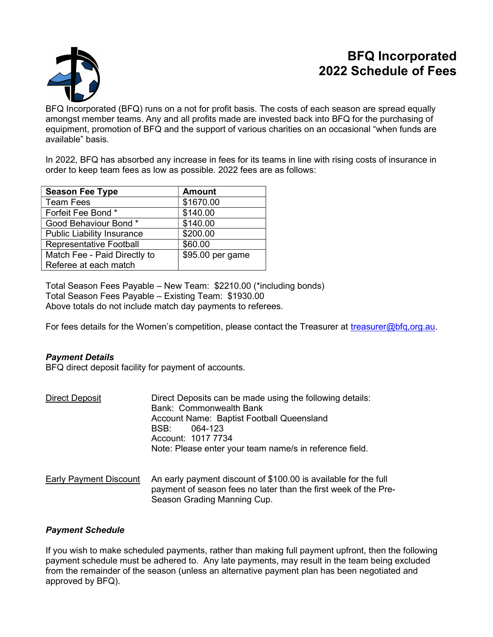# BFQ Incorporated 2022 Schedule of Fees



BFQ Incorporated (BFQ) runs on a not for profit basis. The costs of each season are spread equally amongst member teams. Any and all profits made are invested back into BFQ for the purchasing of equipment, promotion of BFQ and the support of various charities on an occasional "when funds are available" basis.

In 2022, BFQ has absorbed any increase in fees for its teams in line with rising costs of insurance in order to keep team fees as low as possible. 2022 fees are as follows:

| <b>Season Fee Type</b>            | <b>Amount</b>    |
|-----------------------------------|------------------|
| <b>Team Fees</b>                  | \$1670.00        |
| Forfeit Fee Bond *                | \$140.00         |
| Good Behaviour Bond*              | \$140.00         |
| <b>Public Liability Insurance</b> | \$200.00         |
| Representative Football           | \$60.00          |
| Match Fee - Paid Directly to      | \$95.00 per game |
| Referee at each match             |                  |

Total Season Fees Payable – New Team: \$2210.00 (\*including bonds) Total Season Fees Payable – Existing Team: \$1930.00 Above totals do not include match day payments to referees.

For fees details for the Women's competition, please contact the Treasurer at treasurer@bfq,org.au.

# Payment Details

BFQ direct deposit facility for payment of accounts.

| <b>Direct Deposit</b>  | Direct Deposits can be made using the following details:<br>Bank: Commonwealth Bank<br>Account Name: Baptist Football Queensland<br>064-123<br>BSB:<br>Account: 1017 7734<br>Note: Please enter your team name/s in reference field. |
|------------------------|--------------------------------------------------------------------------------------------------------------------------------------------------------------------------------------------------------------------------------------|
| Early Payment Discount | An early payment discount of \$100.00 is available for the full<br>payment of season fees no later than the first week of the Pre-<br>Season Grading Manning Cup.                                                                    |

## Payment Schedule

If you wish to make scheduled payments, rather than making full payment upfront, then the following payment schedule must be adhered to. Any late payments, may result in the team being excluded from the remainder of the season (unless an alternative payment plan has been negotiated and approved by BFQ).